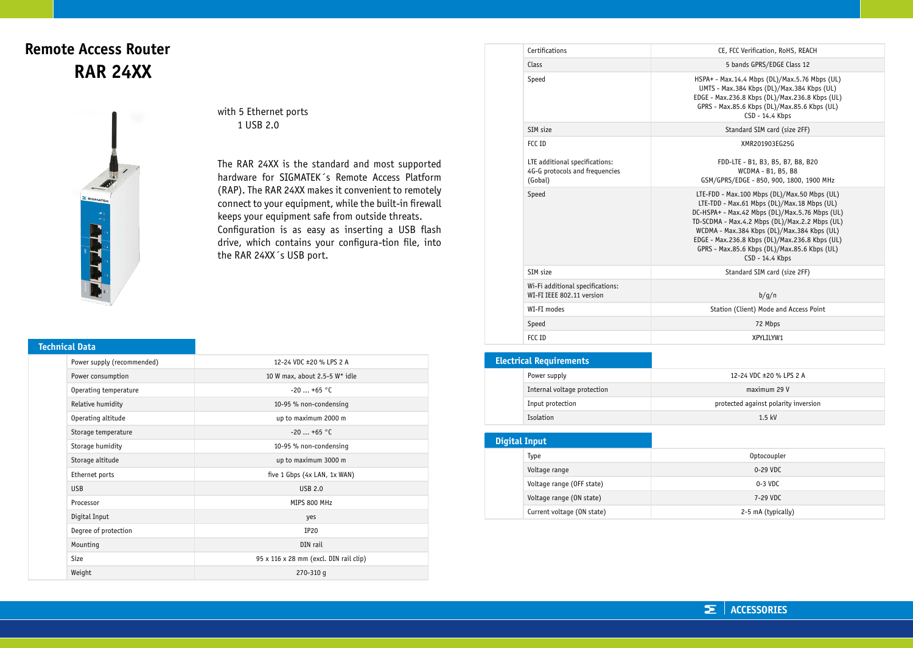## **Remote Access Router RAR 24XX**



with 5 Ethernet ports 1 USB 2.0

The RAR 24XX is the standard and most supported hardware for SIGMATEK´s Remote Access Platform (RAP). The RAR 24XX makes it convenient to remotely connect to your equipment, while the built-in firewall keeps your equipment safe from outside threats. Configuration is as easy as inserting a USB flash drive, which contains your configura-tion file, into the RAR 24XX´s USB port.

## **Technical Data**

| Power supply (recommended) | 12-24 VDC ±20 % LPS 2 A                            |
|----------------------------|----------------------------------------------------|
| Power consumption          | 10 W max, about 2.5-5 W* idle                      |
| Operating temperature      | $-20$ +65 °C                                       |
| Relative humidity          | 10-95 % non-condensing                             |
| Operating altitude         | up to maximum 2000 m                               |
| Storage temperature        | $-20$ +65 °C                                       |
| Storage humidity           | 10-95 % non-condensing                             |
| Storage altitude           | up to maximum 3000 m                               |
| Ethernet ports             | five 1 Gbps (4x LAN, 1x WAN)                       |
| <b>USB</b>                 | <b>USB 2.0</b>                                     |
| Processor                  | MIPS 800 MHz                                       |
| Digital Input              | yes                                                |
| Degree of protection       | IP20                                               |
| Mounting                   | DIN rail                                           |
| Size                       | $95 \times 116 \times 28$ mm (excl. DIN rail clip) |
| Weight                     | $270 - 310$ q                                      |

| Certifications                                                              | CE, FCC Verification, RoHS, REACH                                                                                                                                                                                                                                                                                                                                   |  |
|-----------------------------------------------------------------------------|---------------------------------------------------------------------------------------------------------------------------------------------------------------------------------------------------------------------------------------------------------------------------------------------------------------------------------------------------------------------|--|
| Class                                                                       | 5 bands GPRS/EDGE Class 12                                                                                                                                                                                                                                                                                                                                          |  |
| Speed                                                                       | HSPA+ - Max.14.4 Mbps (DL)/Max.5.76 Mbps (UL)<br>UMTS - Max.384 Kbps (DL)/Max.384 Kbps (UL)<br>EDGE - Max.236.8 Kbps (DL)/Max.236.8 Kbps (UL)<br>GPRS - Max.85.6 Kbps (DL)/Max.85.6 Kbps (UL)<br>CSD - 14.4 Kbps                                                                                                                                                    |  |
| SIM size                                                                    | Standard SIM card (size 2FF)                                                                                                                                                                                                                                                                                                                                        |  |
| FCC TD                                                                      | XMR201903EG25G                                                                                                                                                                                                                                                                                                                                                      |  |
| LTE additional specifications:<br>4G-G protocols and frequencies<br>(Gobal) | FDD-LTE - B1, B3, B5, B7, B8, B20<br>WCDMA - B1, B5, B8<br>GSM/GPRS/EDGE - 850, 900, 1800, 1900 MHz                                                                                                                                                                                                                                                                 |  |
| Speed                                                                       | LTE-FDD - Max.100 Mbps (DL)/Max.50 Mbps (UL)<br>LTE-TDD - Max.61 Mbps (DL)/Max.18 Mbps (UL)<br>DC-HSPA+ - Max.42 Mbps (DL)/Max.5.76 Mbps (UL)<br>TD-SCDMA - Max.4.2 Mbps (DL)/Max.2.2 Mbps (UL)<br>WCDMA - Max.384 Kbps (DL)/Max.384 Kbps (UL)<br>EDGE - Max.236.8 Kbps (DL)/Max.236.8 Kbps (UL)<br>GPRS - Max.85.6 Kbps (DL)/Max.85.6 Kbps (UL)<br>CSD - 14.4 Kbps |  |
| SIM size                                                                    | Standard SIM card (size 2FF)                                                                                                                                                                                                                                                                                                                                        |  |
| Wi-Fi additional specifications:<br>WI-FI IEEE 802.11 version               | b/q/n                                                                                                                                                                                                                                                                                                                                                               |  |
| WI-FI modes                                                                 | Station (Client) Mode and Access Point                                                                                                                                                                                                                                                                                                                              |  |
| Speed                                                                       | 72 Mbps                                                                                                                                                                                                                                                                                                                                                             |  |
| FCC ID                                                                      | XPYLTLYW1                                                                                                                                                                                                                                                                                                                                                           |  |

| <b>Electrical Requirements</b> |                             |                                      |
|--------------------------------|-----------------------------|--------------------------------------|
|                                | Power supply                | 12-24 VDC ±20 % LPS 2 A              |
|                                | Internal voltage protection | maximum 29 V                         |
|                                | Input protection            | protected against polarity inversion |
|                                | Isolation                   | $1.5$ kV                             |

| <b>Digital Input</b> |                            |                    |
|----------------------|----------------------------|--------------------|
|                      | Type                       | Optocoupler        |
|                      | Voltage range              | 0-29 VDC           |
|                      | Voltage range (OFF state)  | $0-3$ VDC          |
|                      | Voltage range (ON state)   | 7-29 VDC           |
|                      | Current voltage (ON state) | 2-5 mA (typically) |